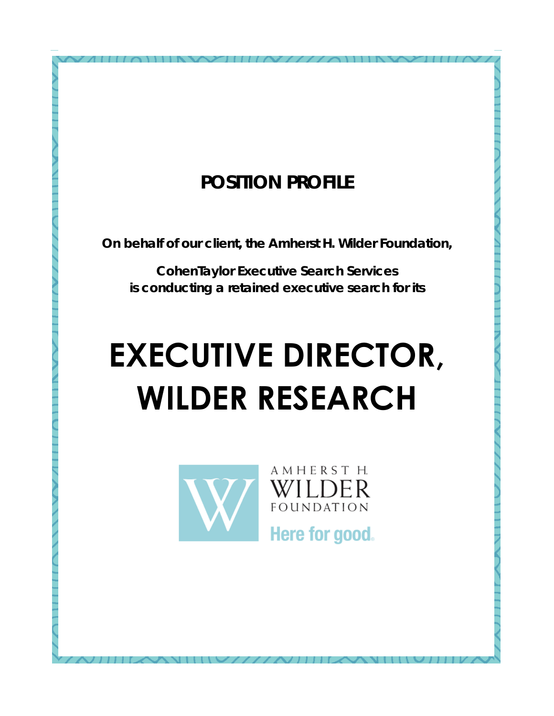### **POSITION PROFILE**

**On behalf of our client, the Amherst H. Wilder Foundation,** 

**CohenTaylor Executive Search Services is conducting a retained executive search for its** 

# **EXECUTIVE DIRECTOR, WILDER RESEARCH**



WILDER **FOUNDATION** 

AMHERST H.

Here for good.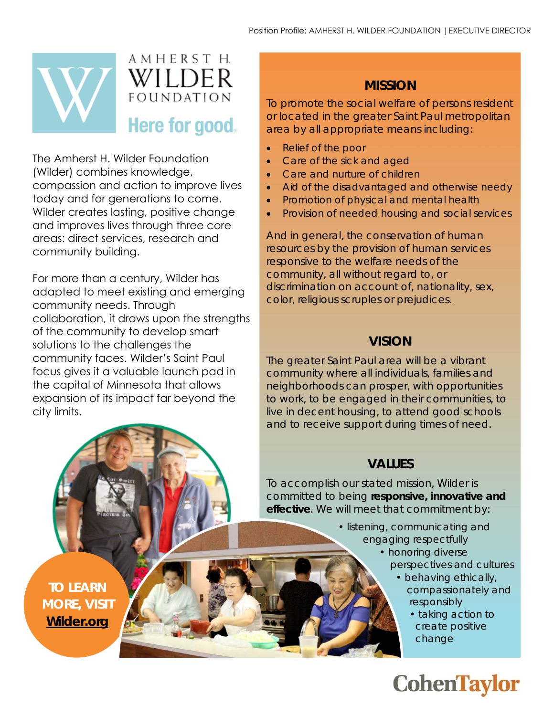

The Amherst H. Wilder Foundation (Wilder) combines knowledge, compassion and action to improve lives today and for generations to come. Wilder creates lasting, positive change and improves lives through three core areas: direct services, research and community building.

For more than a century, Wilder has adapted to meet existing and emerging community needs. Through collaboration, it draws upon the strengths of the community to develop smart solutions to the challenges the community faces. Wilder's Saint Paul focus gives it a valuable launch pad in the capital of Minnesota that allows expansion of its impact far beyond the city limits.

#### **MISSION**

To promote the social welfare of persons resident or located in the greater Saint Paul metropolitan area by all appropriate means including:

- Relief of the poor
- Care of the sick and aged
- Care and nurture of children
- Aid of the disadvantaged and otherwise needy
- Promotion of physical and mental health
- Provision of needed housing and social services

And in general, the conservation of human resources by the provision of human services responsive to the welfare needs of the community, all without regard to, or discrimination on account of, nationality, sex, color, religious scruples or prejudices.

#### **VISION**

The greater Saint Paul area will be a vibrant community where all individuals, families and neighborhoods can prosper, with opportunities to work, to be engaged in their communities, to live in decent housing, to attend good schools and to receive support during times of need.

#### **VALUES**

To accomplish our stated mission, Wilder is committed to being **responsive, innovative and effective**. We will meet that commitment by:

- listening, communicating and engaging respectfully
	- honoring diverse perspectives and cultures
		- behaving ethically, compassionately and responsibly
			- taking action to create positive change

### **CohenTaylor**

**TO LEARN MORE, VISIT [Wilder.org](https://www.wilder.org/)**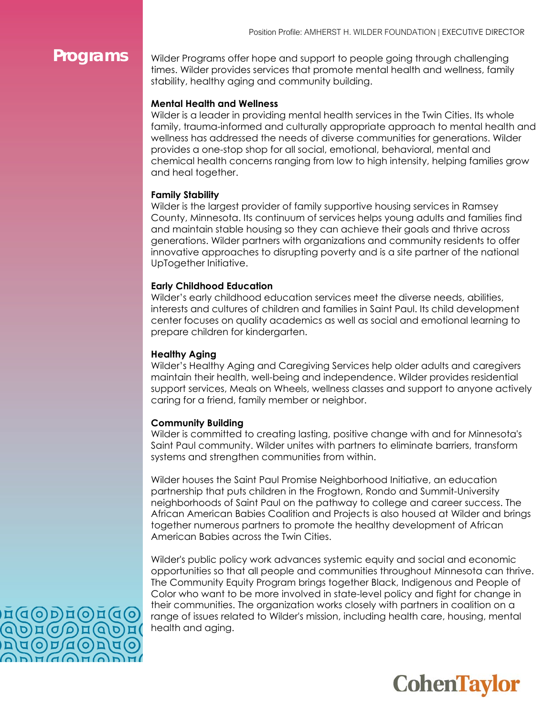**Programs** Vilder Programs offer hope and support to people going through challenging times. Wilder provides services that promote mental health and wellness, family stability, healthy aging and community building.

#### **Mental Health and Wellness**

Wilder is a leader in providing mental health services in the Twin Cities. Its whole family, trauma-informed and culturally appropriate approach to mental health and wellness has addressed the needs of diverse communities for generations. Wilder provides a one-stop shop for all social, emotional, behavioral, mental and chemical health concerns ranging from low to high intensity, helping families grow and heal together.

#### **Family Stability**

Wilder is the largest provider of family supportive housing services in Ramsey County, Minnesota. Its continuum of services helps young adults and families find and maintain stable housing so they can achieve their goals and thrive across generations. Wilder partners with organizations and community residents to offer innovative approaches to disrupting poverty and is a site partner of the national UpTogether Initiative.

#### **Early Childhood Education**

Wilder's early childhood education services meet the diverse needs, abilities, interests and cultures of children and families in Saint Paul. Its child development center focuses on quality academics as well as social and emotional learning to prepare children for kindergarten.

#### **Healthy Aging**

Wilder's Healthy Aging and Caregiving Services help older adults and caregivers maintain their health, well-being and independence. Wilder provides residential support services, Meals on Wheels, wellness classes and support to anyone actively caring for a friend, family member or neighbor.

#### **Community Building**

Wilder is committed to creating lasting, positive change with and for Minnesota's Saint Paul community. Wilder unites with partners to eliminate barriers, transform systems and strengthen communities from within.

Wilder houses the Saint Paul Promise Neighborhood Initiative, an education partnership that puts children in the Frogtown, Rondo and Summit-University neighborhoods of Saint Paul on the pathway to college and career success. The African American Babies Coalition and Projects is also housed at Wilder and brings together numerous partners to promote the healthy development of African American Babies across the Twin Cities.

Wilder's public policy work advances systemic equity and social and economic opportunities so that all people and communities throughout Minnesota can thrive. The Community Equity Program brings together Black, Indigenous and People of Color who want to be more involved in state-level policy and fight for change in their communities. The organization works closely with partners in coalition on a range of issues related to Wilder's mission, including health care, housing, mental health and aging.



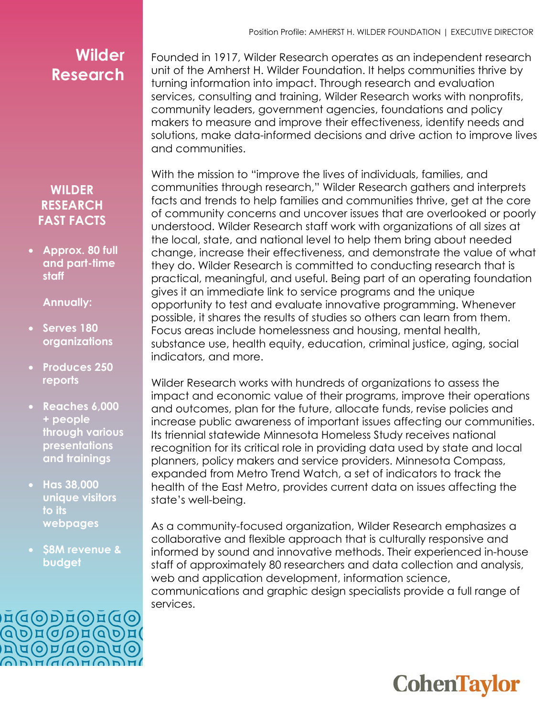### **Wilder Research**

#### **WILDER RESEARCH FAST FACTS**

• **Approx. 80 full and part-time staff**

#### **Annually:**

- **Serves 180 organizations**
- **Produces 250 reports**
- **Reaches 6,000 + people through various presentations and trainings**
- **Has 38,000 unique visitors to its webpages**
- **\$8M revenue & budget**



Founded in 1917, Wilder Research operates as an independent research unit of the Amherst H. Wilder Foundation. It helps communities thrive by turning information into impact. Through research and evaluation services, consulting and training, Wilder Research works with nonprofits, community leaders, government agencies, foundations and policy makers to measure and improve their effectiveness, identify needs and solutions, make data-informed decisions and drive action to improve lives and communities.

With the mission to "improve the lives of individuals, families, and communities through research," Wilder Research gathers and interprets facts and trends to help families and communities thrive, get at the core of community concerns and uncover issues that are overlooked or poorly understood. Wilder Research staff work with organizations of all sizes at the local, state, and national level to help them bring about needed change, increase their effectiveness, and demonstrate the value of what they do. Wilder Research is committed to conducting research that is practical, meaningful, and useful. Being part of an operating foundation gives it an immediate link to service programs and the unique opportunity to test and evaluate innovative programming. Whenever possible, it shares the results of studies so others can learn from them. Focus areas include homelessness and housing, mental health, substance use, health equity, education, criminal justice, aging, social indicators, and more.

Wilder Research works with hundreds of organizations to assess the impact and economic value of their programs, improve their operations and outcomes, plan for the future, allocate funds, revise policies and increase public awareness of important issues affecting our communities. Its triennial statewide Minnesota Homeless Study receives national recognition for its critical role in providing data used by state and local planners, policy makers and service providers. Minnesota Compass, expanded from Metro Trend Watch, a set of indicators to track the health of the East Metro, provides current data on issues affecting the state's well-being.

As a community-focused organization, Wilder Research emphasizes a collaborative and flexible approach that is culturally responsive and informed by sound and innovative methods. Their experienced in-house staff of approximately 80 researchers and data collection and analysis, web and application development, information science, communications and graphic design specialists provide a full range of services.

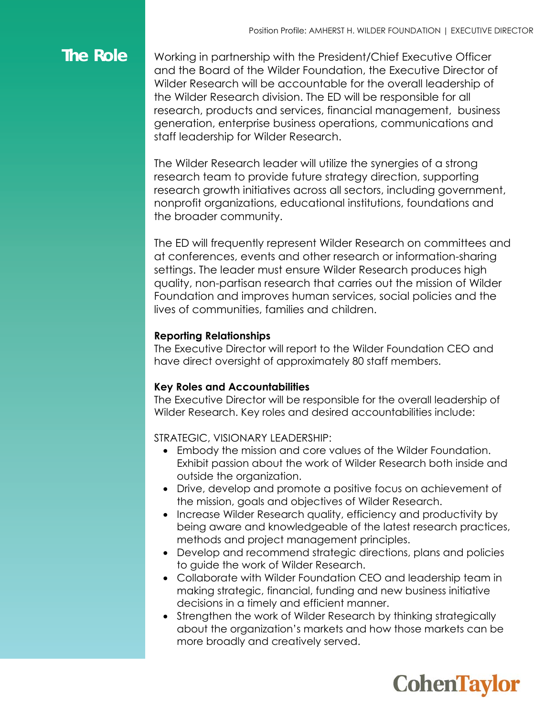### **The Role**

Working in partnership with the President/Chief Executive Officer and the Board of the Wilder Foundation, the Executive Director of Wilder Research will be accountable for the overall leadership of the Wilder Research division. The ED will be responsible for all research, products and services, financial management, business generation, enterprise business operations, communications and staff leadership for Wilder Research.

The Wilder Research leader will utilize the synergies of a strong research team to provide future strategy direction, supporting research growth initiatives across all sectors, including government, nonprofit organizations, educational institutions, foundations and the broader community.

The ED will frequently represent Wilder Research on committees and at conferences, events and other research or information-sharing settings. The leader must ensure Wilder Research produces high quality, non-partisan research that carries out the mission of Wilder Foundation and improves human services, social policies and the lives of communities, families and children.

#### **Reporting Relationships**

The Executive Director will report to the Wilder Foundation CEO and have direct oversight of approximately 80 staff members.

#### **Key Roles and Accountabilities**

The Executive Director will be responsible for the overall leadership of Wilder Research. Key roles and desired accountabilities include:

STRATEGIC, VISIONARY LEADERSHIP:

- Embody the mission and core values of the Wilder Foundation. Exhibit passion about the work of Wilder Research both inside and outside the organization.
- Drive, develop and promote a positive focus on achievement of the mission, goals and objectives of Wilder Research.
- Increase Wilder Research quality, efficiency and productivity by being aware and knowledgeable of the latest research practices, methods and project management principles.
- Develop and recommend strategic directions, plans and policies to guide the work of Wilder Research.
- Collaborate with Wilder Foundation CEO and leadership team in making strategic, financial, funding and new business initiative decisions in a timely and efficient manner.
- Strengthen the work of Wilder Research by thinking strategically about the organization's markets and how those markets can be more broadly and creatively served.

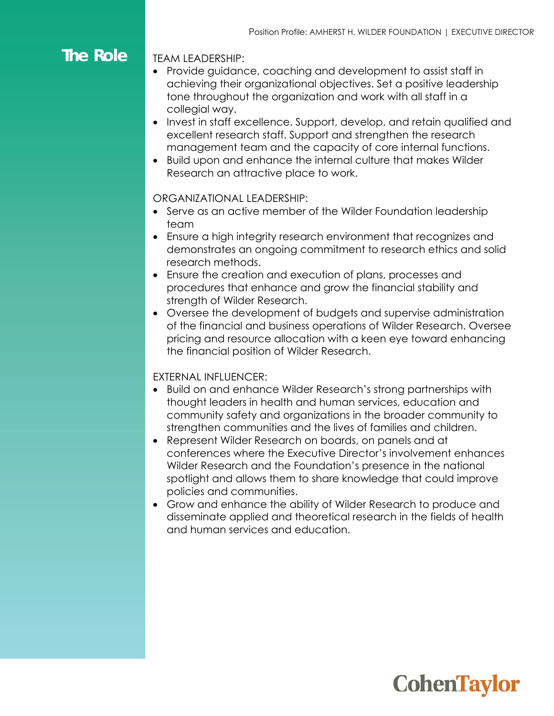### **The Role**

TEAM LEADERSHIP:

- Provide guidance, coaching and development to assist staff in achieving their organizational objectives. Set a positive leadership tone throughout the organization and work with all staff in a collegial way.
- Invest in staff excellence. Support, develop, and retain qualified and excellent research staff. Support and strengthen the research management team and the capacity of core internal functions.
- Build upon and enhance the internal culture that makes Wilder Research an attractive place to work.

#### ORGANIZATIONAL LEADERSHIP:

- Serve as an active member of the Wilder Foundation leadership team
- Ensure a high integrity research environment that recognizes and demonstrates an ongoing commitment to research ethics and solid research methods.
- Ensure the creation and execution of plans, processes and procedures that enhance and grow the financial stability and strength of Wilder Research.
- Oversee the development of budgets and supervise administration of the financial and business operations of Wilder Research. Oversee pricing and resource allocation with a keen eye toward enhancing the financial position of Wilder Research.

#### EXTERNAL INFLUENCER:

- Build on and enhance Wilder Research's strong partnerships with thought leaders in health and human services, education and community safety and organizations in the broader community to strengthen communities and the lives of families and children.
- Represent Wilder Research on boards, on panels and at conferences where the Executive Director's involvement enhances Wilder Research and the Foundation's presence in the national spotlight and allows them to share knowledge that could improve policies and communities.
- Grow and enhance the ability of Wilder Research to produce and disseminate applied and theoretical research in the fields of health and human services and education.

## **CohenTaylor**